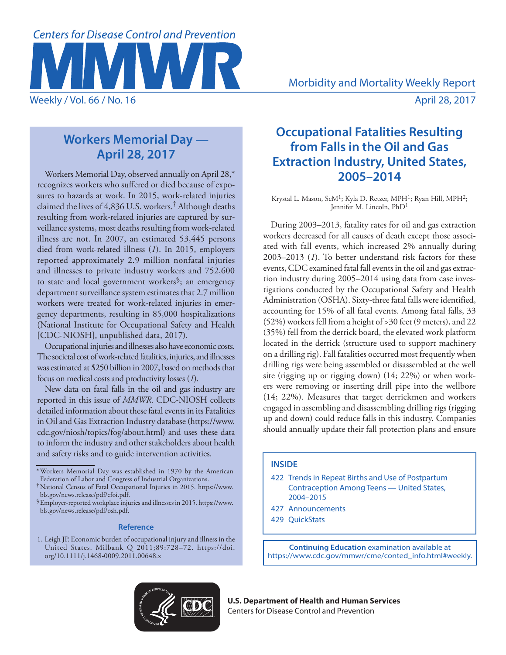

# **Workers Memorial Day — April 28, 2017**

Workers Memorial Day, observed annually on April 28,\* recognizes workers who suffered or died because of exposures to hazards at work. In 2015, work-related injuries claimed the lives of 4,836 U.S. workers.† Although deaths resulting from work-related injuries are captured by surveillance systems, most deaths resulting from work-related illness are not. In 2007, an estimated 53,445 persons died from work-related illness (*1*). In 2015, employers reported approximately 2.9 million nonfatal injuries and illnesses to private industry workers and 752,600 to state and local government workers§; an emergency department surveillance system estimates that 2.7 million workers were treated for work-related injuries in emergency departments, resulting in 85,000 hospitalizations (National Institute for Occupational Safety and Health [CDC-NIOSH], unpublished data, 2017).

Occupational injuries and illnesses also have economic costs. The societal cost of work-related fatalities, injuries, and illnesses was estimated at \$250 billion in 2007, based on methods that focus on medical costs and productivity losses (*1*).

New data on fatal falls in the oil and gas industry are reported in this issue of *MMWR*. CDC-NIOSH collects detailed information about these fatal events in its Fatalities in Oil and Gas Extraction Industry database [\(https://www.](https://www.cdc.gov/niosh/topics/fog/about.html) [cdc.gov/niosh/topics/fog/about.html\)](https://www.cdc.gov/niosh/topics/fog/about.html) and uses these data to inform the industry and other stakeholders about health and safety risks and to guide intervention activities.

\*Workers Memorial Day was established in 1970 by the American Federation of Labor and Congress of Industrial Organizations.

<sup>§</sup> Employer-reported workplace injuries and illnesses in 2015. [https://www.](https://www.bls.gov/news.release/pdf/osh.pdf) [bls.gov/news.release/pdf/osh.pdf](https://www.bls.gov/news.release/pdf/osh.pdf).

#### **Reference**

1. Leigh JP. Economic burden of occupational injury and illness in the United States. Milbank Q 2011;89:728–72. [https://doi.](https://doi.org/10.1111/j.1468-0009.2011.00648.x) [org/10.1111/j.1468-0009.2011.00648.x](https://doi.org/10.1111/j.1468-0009.2011.00648.x)

# **Occupational Fatalities Resulting from Falls in the Oil and Gas Extraction Industry, United States, 2005–2014**

Krystal L. Mason, ScM<sup>1</sup>; Kyla D. Retzer, MPH<sup>1</sup>; Ryan Hill, MPH<sup>2</sup>; Jennifer M. Lincoln, PhD1

During 2003–2013, fatality rates for oil and gas extraction workers decreased for all causes of death except those associated with fall events, which increased 2% annually during 2003–2013 (*1*). To better understand risk factors for these events, CDC examined fatal fall events in the oil and gas extraction industry during 2005–2014 using data from case investigations conducted by the Occupational Safety and Health Administration (OSHA). Sixty-three fatal falls were identified, accounting for 15% of all fatal events. Among fatal falls, 33 (52%) workers fell from a height of >30 feet (9 meters), and 22 (35%) fell from the derrick board, the elevated work platform located in the derrick (structure used to support machinery on a drilling rig). Fall fatalities occurred most frequently when drilling rigs were being assembled or disassembled at the well site (rigging up or rigging down) (14; 22%) or when workers were removing or inserting drill pipe into the wellbore (14; 22%). Measures that target derrickmen and workers engaged in assembling and disassembling drilling rigs (rigging up and down) could reduce falls in this industry. Companies should annually update their fall protection plans and ensure

#### **INSIDE**

- 422 Trends in Repeat Births and Use of Postpartum Contraception Among Teens — United States, 2004–2015
- 427 Announcements
- 429 QuickStats

**Continuing Education** examination available at [https://www.cdc.gov/mmwr/cme/conted\\_info.html#weekly](https://www.cdc.gov/mmwr/cme/conted_info.html#weekly).



**U.S. Department of Health and Human Services** Centers for Disease Control and Prevention

<sup>†</sup>National Census of Fatal Occupational Injuries in 2015. [https://www.](https://www.bls.gov/news.release/pdf/cfoi.pdf)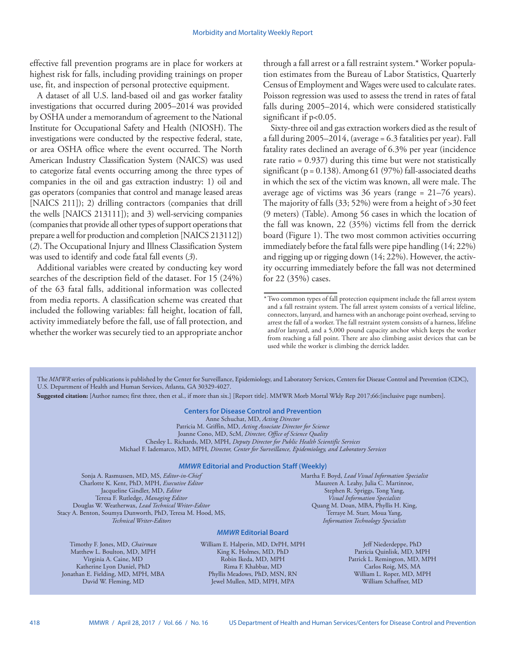effective fall prevention programs are in place for workers at highest risk for falls, including providing trainings on proper use, fit, and inspection of personal protective equipment.

A dataset of all U.S. land-based oil and gas worker fatality investigations that occurred during 2005–2014 was provided by OSHA under a memorandum of agreement to the National Institute for Occupational Safety and Health (NIOSH). The investigations were conducted by the respective federal, state, or area OSHA office where the event occurred. The North American Industry Classification System (NAICS) was used to categorize fatal events occurring among the three types of companies in the oil and gas extraction industry: 1) oil and gas operators (companies that control and manage leased areas [NAICS 211]); 2) drilling contractors (companies that drill the wells [NAICS 213111]); and 3) well-servicing companies (companies that provide all other types of support operations that prepare a well for production and completion [NAICS 213112]) (*2*). The Occupational Injury and Illness Classification System was used to identify and code fatal fall events (*3*).

Additional variables were created by conducting key word searches of the description field of the dataset. For 15 (24%) of the 63 fatal falls, additional information was collected from media reports. A classification scheme was created that included the following variables: fall height, location of fall, activity immediately before the fall, use of fall protection, and whether the worker was securely tied to an appropriate anchor through a fall arrest or a fall restraint system.\* Worker population estimates from the Bureau of Labor Statistics, Quarterly Census of Employment and Wages were used to calculate rates. Poisson regression was used to assess the trend in rates of fatal falls during 2005–2014, which were considered statistically significant if  $p<0.05$ .

Sixty-three oil and gas extraction workers died as the result of a fall during 2005–2014, (average = 6.3 fatalities per year). Fall fatality rates declined an average of 6.3% per year (incidence rate ratio = 0.937) during this time but were not statistically significant ( $p = 0.138$ ). Among 61 (97%) fall-associated deaths in which the sex of the victim was known, all were male. The average age of victims was 36 years (range = 21–76 years). The majority of falls (33; 52%) were from a height of >30 feet (9 meters) (Table). Among 56 cases in which the location of the fall was known, 22 (35%) victims fell from the derrick board (Figure 1). The two most common activities occurring immediately before the fatal falls were pipe handling (14; 22%) and rigging up or rigging down (14; 22%). However, the activity occurring immediately before the fall was not determined for 22 (35%) cases.

The *MMWR* series of publications is published by the Center for Surveillance, Epidemiology, and Laboratory Services, Centers for Disease Control and Prevention (CDC), U.S. Department of Health and Human Services, Atlanta, GA 30329-4027.

**Suggested citation:** [Author names; first three, then et al., if more than six.] [Report title]. MMWR Morb Mortal Wkly Rep 2017;66:[inclusive page numbers].

### **Centers for Disease Control and Prevention**

Anne Schuchat, MD, *Acting Director* Patricia M. Griffin, MD, *Acting Associate Director for Science* Joanne Cono, MD, ScM, *Director, Office of Science Quality*  Chesley L. Richards, MD, MPH, *Deputy Director for Public Health Scientific Services* Michael F. Iademarco, MD, MPH, *Director, Center for Surveillance, Epidemiology, and Laboratory Services*

#### *MMWR* **Editorial and Production Staff (Weekly)**

Sonja A. Rasmussen, MD, MS, *Editor-in-Chief* Charlotte K. Kent, PhD, MPH, *Executive Editor* Jacqueline Gindler, MD, *Editor* Teresa F. Rutledge, *Managing Editor* Douglas W. Weatherwax, *Lead Technical Writer-Editor* Stacy A. Benton, Soumya Dunworth, PhD, Teresa M. Hood, MS, *Technical Writer-Editors*

Martha F. Boyd, *Lead Visual Information Specialist* Maureen A. Leahy, Julia C. Martinroe, Stephen R. Spriggs, Tong Yang, *Visual Information Specialists* Quang M. Doan, MBA, Phyllis H. King, Terraye M. Starr, Moua Yang, *Information Technology Specialists*

### *MMWR* **Editorial Board**

Timothy F. Jones, MD, *Chairman* Matthew L. Boulton, MD, MPH Virginia A. Caine, MD Katherine Lyon Daniel, PhD Jonathan E. Fielding, MD, MPH, MBA David W. Fleming, MD

William E. Halperin, MD, DrPH, MPH King K. Holmes, MD, PhD Robin Ikeda, MD, MPH Rima F. Khabbaz, MD Phyllis Meadows, PhD, MSN, RN Jewel Mullen, MD, MPH, MPA

Jeff Niederdeppe, PhD Patricia Quinlisk, MD, MPH Patrick L. Remington, MD, MPH Carlos Roig, MS, MA William L. Roper, MD, MPH William Schaffner, MD

<sup>\*</sup>Two common types of fall protection equipment include the fall arrest system and a fall restraint system. The fall arrest system consists of a vertical lifeline, connectors, lanyard, and harness with an anchorage point overhead, serving to arrest the fall of a worker. The fall restraint system consists of a harness, lifeline and/or lanyard, and a 5,000 pound capacity anchor which keeps the worker from reaching a fall point. There are also climbing assist devices that can be used while the worker is climbing the derrick ladder.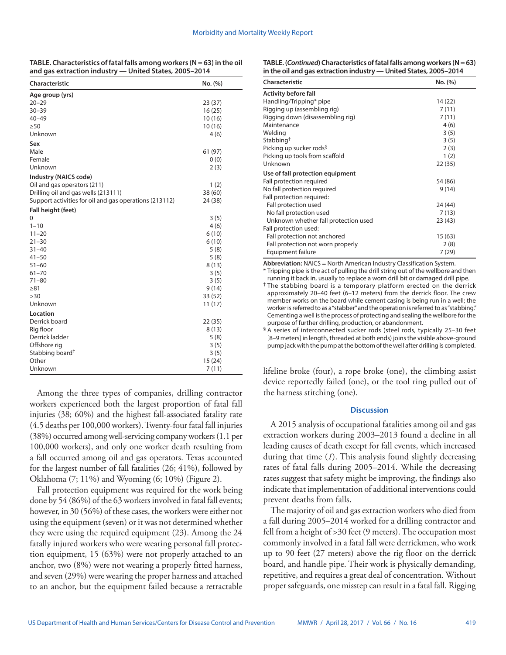| TABLE. Characteristics of fatal falls among workers ( $N = 63$ ) in the oil |
|-----------------------------------------------------------------------------|
| and gas extraction industry - United States, 2005-2014                      |

| Characteristic                                         | No. (%) |
|--------------------------------------------------------|---------|
| Age group (yrs)                                        |         |
| $20 - 29$                                              | 23(37)  |
| $30 - 39$                                              | 16(25)  |
| $40 - 49$                                              | 10(16)  |
| $\geq 50$                                              | 10(16)  |
| Unknown                                                | 4(6)    |
| Sex                                                    |         |
| Male                                                   | 61 (97) |
| Female                                                 | 0(0)    |
| Unknown                                                | 2(3)    |
| Industry (NAICS code)                                  |         |
| Oil and gas operators (211)                            | 1(2)    |
| Drilling oil and gas wells (213111)                    | 38 (60) |
| Support activities for oil and gas operations (213112) | 24 (38) |
| Fall height (feet)                                     |         |
| 0                                                      | 3(5)    |
| $1 - 10$                                               | 4(6)    |
| $11 - 20$                                              | 6(10)   |
| $21 - 30$                                              | 6(10)   |
| $31 - 40$                                              | 5(8)    |
| $41 - 50$                                              | 5(8)    |
| $51 - 60$                                              | 8(13)   |
| $61 - 70$                                              | 3(5)    |
| $71 - 80$                                              | 3(5)    |
| $\geq 81$                                              | 9(14)   |
| >30                                                    | 33 (52) |
| Unknown                                                | 11(17)  |
| Location                                               |         |
| Derrick board                                          | 22 (35) |
| Rig floor                                              | 8(13)   |
| Derrick ladder                                         | 5(8)    |
| Offshore rig                                           | 3(5)    |
| Stabbing board <sup>†</sup>                            | 3(5)    |
| Other                                                  | 15(24)  |
| Unknown                                                | 7(11)   |

Among the three types of companies, drilling contractor workers experienced both the largest proportion of fatal fall injuries (38; 60%) and the highest fall-associated fatality rate (4.5 deaths per 100,000 workers). Twenty-four fatal fall injuries (38%) occurred among well-servicing company workers (1.1 per 100,000 workers), and only one worker death resulting from a fall occurred among oil and gas operators. Texas accounted for the largest number of fall fatalities (26; 41%), followed by Oklahoma (7; 11%) and Wyoming (6; 10%) (Figure 2).

Fall protection equipment was required for the work being done by 54 (86%) of the 63 workers involved in fatal fall events; however, in 30 (56%) of these cases, the workers were either not using the equipment (seven) or it was not determined whether they were using the required equipment (23). Among the 24 fatally injured workers who were wearing personal fall protection equipment, 15 (63%) were not properly attached to an anchor, two (8%) were not wearing a properly fitted harness, and seven (29%) were wearing the proper harness and attached to an anchor, but the equipment failed because a retractable **TABLE. (***Continued***) Characteristics of fatal falls among workers (N = 63) in the oil and gas extraction industry — United States, 2005–2014**

| <b>Characteristic</b>                | No. (%) |
|--------------------------------------|---------|
| <b>Activity before fall</b>          |         |
| Handling/Tripping* pipe              | 14(22)  |
| Rigging up (assembling rig)          | 7(11)   |
| Rigging down (disassembling rig)     | 7(11)   |
| Maintenance                          | 4(6)    |
| Welding                              | 3(5)    |
| Stabbing <sup>†</sup>                | 3(5)    |
| Picking up sucker rods <sup>§</sup>  | 2(3)    |
| Picking up tools from scaffold       | 1(2)    |
| Unknown                              | 22 (35) |
| Use of fall protection equipment     |         |
| Fall protection required             | 54 (86) |
| No fall protection required          | 9(14)   |
| Fall protection required:            |         |
| Fall protection used                 | 24 (44) |
| No fall protection used              | 7(13)   |
| Unknown whether fall protection used | 23 (43) |
| Fall protection used:                |         |
| Fall protection not anchored         | 15(63)  |
| Fall protection not worn properly    | 2(8)    |
| <b>Equipment failure</b>             | 7(29)   |

**Abbreviation:** NAICS = North American Industry Classification System.

\* Tripping pipe is the act of pulling the drill string out of the wellbore and then running it back in, usually to replace a worn drill bit or damaged drill pipe.

† The stabbing board is a temporary platform erected on the derrick approximately 20–40 feet (6–12 meters) from the derrick floor. The crew member works on the board while cement casing is being run in a well; the worker is referred to as a "stabber" and the operation is referred to as "stabbing." Cementing a well is the process of protecting and sealing the wellbore for the purpose of further drilling, production, or abandonment.

§ A series of interconnected sucker rods (steel rods, typically 25–30 feet [8–9 meters] in length, threaded at both ends) joins the visible above-ground pump jack with the pump at the bottom of the well after drilling is completed.

lifeline broke (four), a rope broke (one), the climbing assist device reportedly failed (one), or the tool ring pulled out of the harness stitching (one).

#### **Discussion**

A 2015 analysis of occupational fatalities among oil and gas extraction workers during 2003–2013 found a decline in all leading causes of death except for fall events, which increased during that time (*1*). This analysis found slightly decreasing rates of fatal falls during 2005–2014. While the decreasing rates suggest that safety might be improving, the findings also indicate that implementation of additional interventions could prevent deaths from falls.

The majority of oil and gas extraction workers who died from a fall during 2005–2014 worked for a drilling contractor and fell from a height of >30 feet (9 meters). The occupation most commonly involved in a fatal fall were derrickmen, who work up to 90 feet (27 meters) above the rig floor on the derrick board, and handle pipe. Their work is physically demanding, repetitive, and requires a great deal of concentration. Without proper safeguards, one misstep can result in a fatal fall. Rigging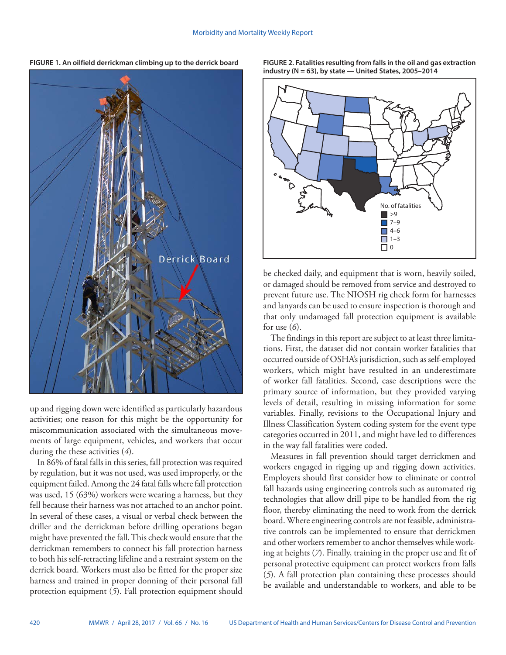

up and rigging down were identified as particularly hazardous activities; one reason for this might be the opportunity for miscommunication associated with the simultaneous movements of large equipment, vehicles, and workers that occur during the these activities (*4*).

In 86% of fatal falls in this series, fall protection was required by regulation, but it was not used, was used improperly, or the equipment failed. Among the 24 fatal falls where fall protection was used, 15 (63%) workers were wearing a harness, but they fell because their harness was not attached to an anchor point. In several of these cases, a visual or verbal check between the driller and the derrickman before drilling operations began might have prevented the fall. This check would ensure that the derrickman remembers to connect his fall protection harness to both his self-retracting lifeline and a restraint system on the derrick board. Workers must also be fitted for the proper size harness and trained in proper donning of their personal fall protection equipment (*5*). Fall protection equipment should **FIGURE 2. Fatalities resulting from falls in the oil and gas extraction industry (N = 63), by state — United States, 2005–2014**



be checked daily, and equipment that is worn, heavily soiled, or damaged should be removed from service and destroyed to prevent future use. The NIOSH rig check form for harnesses and lanyards can be used to ensure inspection is thorough and that only undamaged fall protection equipment is available for use (*6*).

The findings in this report are subject to at least three limitations. First, the dataset did not contain worker fatalities that occurred outside of OSHA's jurisdiction, such as self-employed workers, which might have resulted in an underestimate of worker fall fatalities. Second, case descriptions were the primary source of information, but they provided varying levels of detail, resulting in missing information for some variables. Finally, revisions to the Occupational Injury and Illness Classification System coding system for the event type categories occurred in 2011, and might have led to differences in the way fall fatalities were coded.

Measures in fall prevention should target derrickmen and workers engaged in rigging up and rigging down activities. Employers should first consider how to eliminate or control fall hazards using engineering controls such as automated rig technologies that allow drill pipe to be handled from the rig floor, thereby eliminating the need to work from the derrick board. Where engineering controls are not feasible, administrative controls can be implemented to ensure that derrickmen and other workers remember to anchor themselves while working at heights (*7*). Finally, training in the proper use and fit of personal protective equipment can protect workers from falls (*5*). A fall protection plan containing these processes should be available and understandable to workers, and able to be